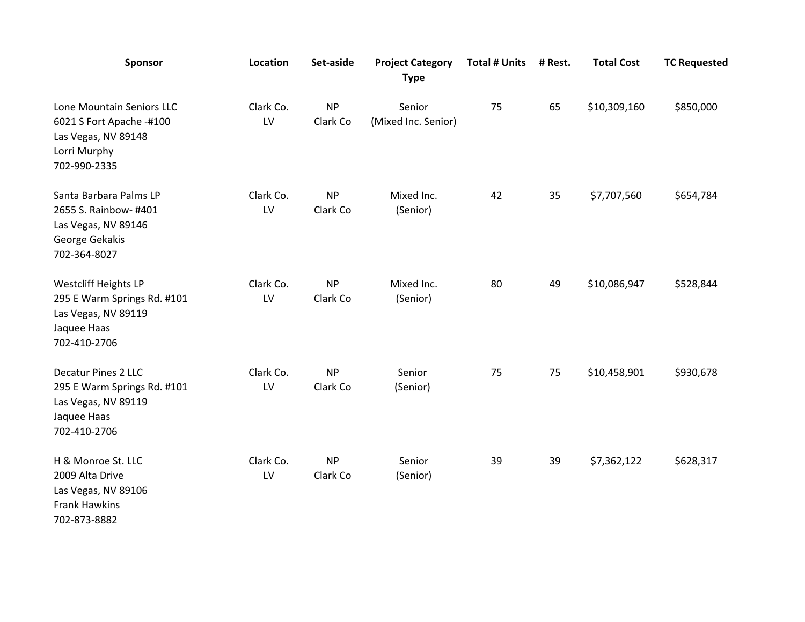| Sponsor                                                                                                          | <b>Location</b> | Set-aside             | <b>Project Category</b><br><b>Type</b> | <b>Total # Units</b> | # Rest. | <b>Total Cost</b> | <b>TC Requested</b> |
|------------------------------------------------------------------------------------------------------------------|-----------------|-----------------------|----------------------------------------|----------------------|---------|-------------------|---------------------|
| Lone Mountain Seniors LLC<br>6021 S Fort Apache -#100<br>Las Vegas, NV 89148<br>Lorri Murphy<br>702-990-2335     | Clark Co.<br>LV | <b>NP</b><br>Clark Co | Senior<br>(Mixed Inc. Senior)          | 75                   | 65      | \$10,309,160      | \$850,000           |
| Santa Barbara Palms LP<br>2655 S. Rainbow- #401<br>Las Vegas, NV 89146<br>George Gekakis<br>702-364-8027         | Clark Co.<br>LV | <b>NP</b><br>Clark Co | Mixed Inc.<br>(Senior)                 | 42                   | 35      | \$7,707,560       | \$654,784           |
| <b>Westcliff Heights LP</b><br>295 E Warm Springs Rd. #101<br>Las Vegas, NV 89119<br>Jaquee Haas<br>702-410-2706 | Clark Co.<br>LV | <b>NP</b><br>Clark Co | Mixed Inc.<br>(Senior)                 | 80                   | 49      | \$10,086,947      | \$528,844           |
| <b>Decatur Pines 2 LLC</b><br>295 E Warm Springs Rd. #101<br>Las Vegas, NV 89119<br>Jaquee Haas<br>702-410-2706  | Clark Co.<br>LV | <b>NP</b><br>Clark Co | Senior<br>(Senior)                     | 75                   | 75      | \$10,458,901      | \$930,678           |
| H & Monroe St. LLC<br>2009 Alta Drive<br>Las Vegas, NV 89106<br><b>Frank Hawkins</b><br>702-873-8882             | Clark Co.<br>LV | <b>NP</b><br>Clark Co | Senior<br>(Senior)                     | 39                   | 39      | \$7,362,122       | \$628,317           |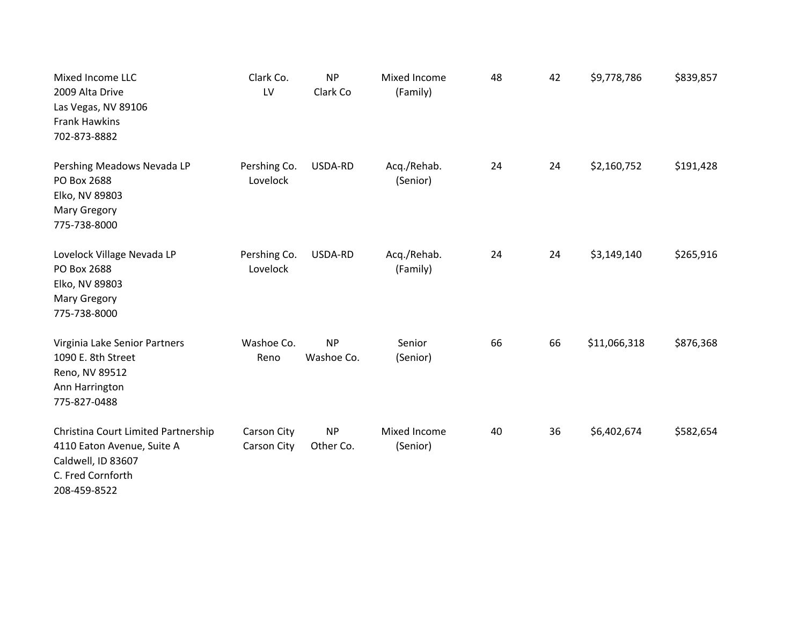| Mixed Income LLC<br>2009 Alta Drive<br>Las Vegas, NV 89106<br><b>Frank Hawkins</b><br>702-873-8882                           | Clark Co.<br>LV            | <b>NP</b><br>Clark Co   | Mixed Income<br>(Family) | 48 | 42 | \$9,778,786  | \$839,857 |
|------------------------------------------------------------------------------------------------------------------------------|----------------------------|-------------------------|--------------------------|----|----|--------------|-----------|
| Pershing Meadows Nevada LP<br>PO Box 2688<br>Elko, NV 89803<br><b>Mary Gregory</b><br>775-738-8000                           | Pershing Co.<br>Lovelock   | USDA-RD                 | Acq./Rehab.<br>(Senior)  | 24 | 24 | \$2,160,752  | \$191,428 |
| Lovelock Village Nevada LP<br>PO Box 2688<br>Elko, NV 89803<br><b>Mary Gregory</b><br>775-738-8000                           | Pershing Co.<br>Lovelock   | USDA-RD                 | Acq./Rehab.<br>(Family)  | 24 | 24 | \$3,149,140  | \$265,916 |
| Virginia Lake Senior Partners<br>1090 E. 8th Street<br>Reno, NV 89512<br>Ann Harrington<br>775-827-0488                      | Washoe Co.<br>Reno         | <b>NP</b><br>Washoe Co. | Senior<br>(Senior)       | 66 | 66 | \$11,066,318 | \$876,368 |
| Christina Court Limited Partnership<br>4110 Eaton Avenue, Suite A<br>Caldwell, ID 83607<br>C. Fred Cornforth<br>208-459-8522 | Carson City<br>Carson City | <b>NP</b><br>Other Co.  | Mixed Income<br>(Senior) | 40 | 36 | \$6,402,674  | \$582,654 |